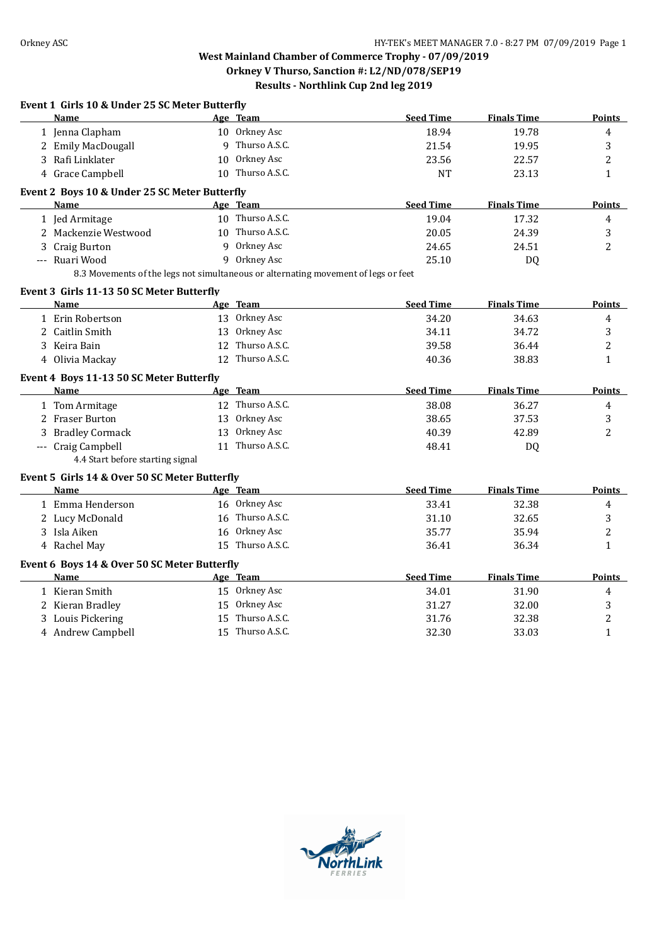| Name                                      |                                               | Age Team                                                                           | <b>Seed Time</b> | <b>Finals Time</b> | Points        |
|-------------------------------------------|-----------------------------------------------|------------------------------------------------------------------------------------|------------------|--------------------|---------------|
| 1 Jenna Clapham                           |                                               | 10 Orkney Asc                                                                      | 18.94            | 19.78              | 4             |
| 2 Emily MacDougall                        |                                               | 9 Thurso A.S.C.                                                                    | 21.54            | 19.95              | 3             |
| 3 Rafi Linklater                          |                                               | 10 Orkney Asc                                                                      | 23.56            | 22.57              | 2             |
| 4 Grace Campbell                          |                                               | 10 Thurso A.S.C.                                                                   | <b>NT</b>        | 23.13              | $\mathbf{1}$  |
|                                           | Event 2 Boys 10 & Under 25 SC Meter Butterfly |                                                                                    |                  |                    |               |
| <b>Name</b>                               |                                               | Age Team                                                                           | <b>Seed Time</b> | <b>Finals Time</b> | Points        |
| 1 Jed Armitage                            |                                               | 10 Thurso A.S.C.                                                                   | 19.04            | 17.32              | 4             |
| 2 Mackenzie Westwood                      |                                               | 10 Thurso A.S.C.                                                                   | 20.05            | 24.39              | 3             |
| 3 Craig Burton                            |                                               | 9 Orkney Asc                                                                       | 24.65            | 24.51              | 2             |
| --- Ruari Wood                            |                                               | 9 Orkney Asc                                                                       | 25.10            | DQ                 |               |
|                                           |                                               | 8.3 Movements of the legs not simultaneous or alternating movement of legs or feet |                  |                    |               |
| Event 3 Girls 11-13 50 SC Meter Butterfly |                                               |                                                                                    |                  |                    |               |
| <b>Name</b>                               |                                               | Age Team                                                                           | <b>Seed Time</b> | <b>Finals Time</b> | <b>Points</b> |
| 1 Erin Robertson                          |                                               | 13 Orkney Asc                                                                      | 34.20            | 34.63              | 4             |
| 2 Caitlin Smith                           | 13                                            | Orkney Asc                                                                         | 34.11            | 34.72              | 3             |
| 3 Keira Bain                              |                                               | 12 Thurso A.S.C.                                                                   | 39.58            | 36.44              | 2             |
| 4 Olivia Mackay                           |                                               | 12 Thurso A.S.C.                                                                   | 40.36            | 38.83              | $\mathbf{1}$  |
| Event 4 Boys 11-13 50 SC Meter Butterfly  |                                               |                                                                                    |                  |                    |               |
| <b>Name</b>                               |                                               | Age Team                                                                           | <b>Seed Time</b> | <b>Finals Time</b> | Points        |
| 1 Tom Armitage                            |                                               | 12 Thurso A.S.C.                                                                   | 38.08            | 36.27              | 4             |
| 2 Fraser Burton                           |                                               | 13 Orkney Asc                                                                      | 38.65            | 37.53              | 3             |
| 3 Bradley Cormack                         | 13                                            | Orkney Asc                                                                         | 40.39            | 42.89              | 2             |
| --- Craig Campbell                        |                                               | 11 Thurso A.S.C.                                                                   | 48.41            | DQ                 |               |
|                                           | 4.4 Start before starting signal              |                                                                                    |                  |                    |               |
|                                           | Event 5 Girls 14 & Over 50 SC Meter Butterfly |                                                                                    |                  |                    |               |
| <b>Name</b>                               |                                               | Age Team                                                                           | <b>Seed Time</b> | <b>Finals Time</b> | <b>Points</b> |
| 1 Emma Henderson                          |                                               | 16 Orkney Asc                                                                      | 33.41            | 32.38              | 4             |
| 2 Lucy McDonald                           |                                               | 16 Thurso A.S.C.                                                                   | 31.10            | 32.65              | 3             |
| 3 Isla Aiken                              |                                               | 16 Orkney Asc                                                                      | 35.77            | 35.94              | 2             |
| 4 Rachel May                              |                                               | 15 Thurso A.S.C.                                                                   | 36.41            | 36.34              | $\mathbf{1}$  |
|                                           | Event 6 Boys 14 & Over 50 SC Meter Butterfly  |                                                                                    |                  |                    |               |
| <b>Name</b>                               |                                               | Age Team                                                                           | <b>Seed Time</b> | <b>Finals Time</b> | <b>Points</b> |
| 1 Kieran Smith                            |                                               | 15 Orkney Asc                                                                      | 34.01            | 31.90              | 4             |
| 2 Kieran Bradley                          |                                               | 15 Orkney Asc                                                                      | 31.27            | 32.00              | 3             |
|                                           |                                               | Thurso A.S.C.                                                                      | 31.76            | 32.38              | 2             |
| 3 Louis Pickering                         | 15                                            |                                                                                    |                  |                    |               |

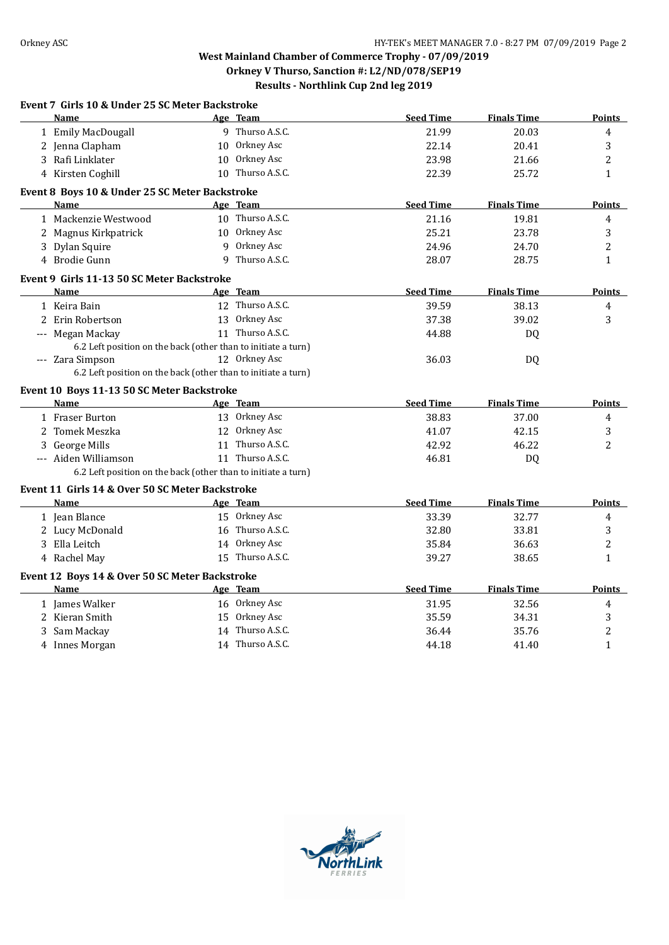| Age Team<br><b>Seed Time</b><br><b>Finals Time</b><br><b>Name</b><br><b>Points</b><br>9 Thurso A.S.C.<br>1 Emily MacDougall<br>21.99<br>20.03<br>4<br>10 Orkney Asc<br>3<br>2 Jenna Clapham<br>22.14<br>20.41<br>10 Orkney Asc<br>$\overline{c}$<br>3 Rafi Linklater<br>23.98<br>21.66<br>4 Kirsten Coghill<br>10 Thurso A.S.C.<br>22.39<br>25.72<br>$\mathbf{1}$<br>Event 8 Boys 10 & Under 25 SC Meter Backstroke<br><b>Seed Time</b><br><b>Finals Time</b><br><b>Name</b><br>Age Team<br><b>Points</b><br>10 Thurso A.S.C.<br>1 Mackenzie Westwood<br>21.16<br>19.81<br>4<br>3<br>2 Magnus Kirkpatrick<br>10 Orkney Asc<br>25.21<br>23.78<br>9 Orkney Asc<br>2<br>3 Dylan Squire<br>24.96<br>24.70<br>4 Brodie Gunn<br>9 Thurso A.S.C.<br>28.07<br>28.75<br>$\mathbf{1}$<br>Event 9 Girls 11-13 50 SC Meter Backstroke<br>Age Team<br><b>Seed Time</b><br><b>Finals Time</b><br>Name<br><b>Points</b><br>12 Thurso A.S.C.<br>39.59<br>38.13<br>4<br>1 Keira Bain<br>13 Orkney Asc<br>3<br>2 Erin Robertson<br>37.38<br>39.02<br>11 Thurso A.S.C.<br>--- Megan Mackay<br>44.88<br><b>DQ</b><br>6.2 Left position on the back (other than to initiate a turn)<br>12 Orkney Asc<br>--- Zara Simpson<br>36.03<br>DQ<br>6.2 Left position on the back (other than to initiate a turn)<br>Event 10 Boys 11-13 50 SC Meter Backstroke<br><b>Seed Time</b><br><b>Finals Time</b><br><b>Name</b><br>Age Team<br><b>Points</b><br>1 Fraser Burton<br>13 Orkney Asc<br>38.83<br>37.00<br>4<br>12 Orkney Asc<br>2 Tomek Meszka<br>42.15<br>3<br>41.07<br>11 Thurso A.S.C.<br>3 George Mills<br>42.92<br>46.22<br>$\overline{2}$<br>11 Thurso A.S.C.<br>--- Aiden Williamson<br>46.81<br>DQ<br>6.2 Left position on the back (other than to initiate a turn)<br>Event 11 Girls 14 & Over 50 SC Meter Backstroke<br>Age Team<br><b>Seed Time</b><br><b>Finals Time</b><br><b>Name</b><br><b>Points</b><br>15 Orkney Asc<br>33.39<br>32.77<br>1 Jean Blance<br>4<br>16 Thurso A.S.C.<br>2 Lucy McDonald<br>32.80<br>33.81<br>3<br>2<br>3 Ella Leitch<br>14 Orkney Asc<br>35.84<br>36.63<br>15 Thurso A.S.C.<br>$\mathbf{1}$<br>4 Rachel May<br>39.27<br>38.65<br>Event 12 Boys 14 & Over 50 SC Meter Backstroke<br><b>Seed Time</b><br><b>Finals Time</b><br><b>Points</b><br><b>Name</b><br>Age Team<br>16 Orkney Asc<br>1 James Walker<br>31.95<br>32.56<br>$\overline{4}$<br>2 Kieran Smith<br>15 Orkney Asc<br>35.59<br>3<br>34.31<br>14 Thurso A.S.C.<br>35.76<br>2<br>3 Sam Mackay<br>36.44<br>14 Thurso A.S.C.<br>44.18<br>41.40<br>$\mathbf{1}$<br>4 Innes Morgan | Event 7 Girls 10 & Under 25 SC Meter Backstroke |  |  |  |
|---------------------------------------------------------------------------------------------------------------------------------------------------------------------------------------------------------------------------------------------------------------------------------------------------------------------------------------------------------------------------------------------------------------------------------------------------------------------------------------------------------------------------------------------------------------------------------------------------------------------------------------------------------------------------------------------------------------------------------------------------------------------------------------------------------------------------------------------------------------------------------------------------------------------------------------------------------------------------------------------------------------------------------------------------------------------------------------------------------------------------------------------------------------------------------------------------------------------------------------------------------------------------------------------------------------------------------------------------------------------------------------------------------------------------------------------------------------------------------------------------------------------------------------------------------------------------------------------------------------------------------------------------------------------------------------------------------------------------------------------------------------------------------------------------------------------------------------------------------------------------------------------------------------------------------------------------------------------------------------------------------------------------------------------------------------------------------------------------------------------------------------------------------------------------------------------------------------------------------------------------------------------------------------------------------------------------------------------------------------------------------------------------------------------------------------------------------------------------------------------------------------------------------------------------------------|-------------------------------------------------|--|--|--|
|                                                                                                                                                                                                                                                                                                                                                                                                                                                                                                                                                                                                                                                                                                                                                                                                                                                                                                                                                                                                                                                                                                                                                                                                                                                                                                                                                                                                                                                                                                                                                                                                                                                                                                                                                                                                                                                                                                                                                                                                                                                                                                                                                                                                                                                                                                                                                                                                                                                                                                                                                               |                                                 |  |  |  |
|                                                                                                                                                                                                                                                                                                                                                                                                                                                                                                                                                                                                                                                                                                                                                                                                                                                                                                                                                                                                                                                                                                                                                                                                                                                                                                                                                                                                                                                                                                                                                                                                                                                                                                                                                                                                                                                                                                                                                                                                                                                                                                                                                                                                                                                                                                                                                                                                                                                                                                                                                               |                                                 |  |  |  |
|                                                                                                                                                                                                                                                                                                                                                                                                                                                                                                                                                                                                                                                                                                                                                                                                                                                                                                                                                                                                                                                                                                                                                                                                                                                                                                                                                                                                                                                                                                                                                                                                                                                                                                                                                                                                                                                                                                                                                                                                                                                                                                                                                                                                                                                                                                                                                                                                                                                                                                                                                               |                                                 |  |  |  |
|                                                                                                                                                                                                                                                                                                                                                                                                                                                                                                                                                                                                                                                                                                                                                                                                                                                                                                                                                                                                                                                                                                                                                                                                                                                                                                                                                                                                                                                                                                                                                                                                                                                                                                                                                                                                                                                                                                                                                                                                                                                                                                                                                                                                                                                                                                                                                                                                                                                                                                                                                               |                                                 |  |  |  |
|                                                                                                                                                                                                                                                                                                                                                                                                                                                                                                                                                                                                                                                                                                                                                                                                                                                                                                                                                                                                                                                                                                                                                                                                                                                                                                                                                                                                                                                                                                                                                                                                                                                                                                                                                                                                                                                                                                                                                                                                                                                                                                                                                                                                                                                                                                                                                                                                                                                                                                                                                               |                                                 |  |  |  |
|                                                                                                                                                                                                                                                                                                                                                                                                                                                                                                                                                                                                                                                                                                                                                                                                                                                                                                                                                                                                                                                                                                                                                                                                                                                                                                                                                                                                                                                                                                                                                                                                                                                                                                                                                                                                                                                                                                                                                                                                                                                                                                                                                                                                                                                                                                                                                                                                                                                                                                                                                               |                                                 |  |  |  |
|                                                                                                                                                                                                                                                                                                                                                                                                                                                                                                                                                                                                                                                                                                                                                                                                                                                                                                                                                                                                                                                                                                                                                                                                                                                                                                                                                                                                                                                                                                                                                                                                                                                                                                                                                                                                                                                                                                                                                                                                                                                                                                                                                                                                                                                                                                                                                                                                                                                                                                                                                               |                                                 |  |  |  |
|                                                                                                                                                                                                                                                                                                                                                                                                                                                                                                                                                                                                                                                                                                                                                                                                                                                                                                                                                                                                                                                                                                                                                                                                                                                                                                                                                                                                                                                                                                                                                                                                                                                                                                                                                                                                                                                                                                                                                                                                                                                                                                                                                                                                                                                                                                                                                                                                                                                                                                                                                               |                                                 |  |  |  |
|                                                                                                                                                                                                                                                                                                                                                                                                                                                                                                                                                                                                                                                                                                                                                                                                                                                                                                                                                                                                                                                                                                                                                                                                                                                                                                                                                                                                                                                                                                                                                                                                                                                                                                                                                                                                                                                                                                                                                                                                                                                                                                                                                                                                                                                                                                                                                                                                                                                                                                                                                               |                                                 |  |  |  |
|                                                                                                                                                                                                                                                                                                                                                                                                                                                                                                                                                                                                                                                                                                                                                                                                                                                                                                                                                                                                                                                                                                                                                                                                                                                                                                                                                                                                                                                                                                                                                                                                                                                                                                                                                                                                                                                                                                                                                                                                                                                                                                                                                                                                                                                                                                                                                                                                                                                                                                                                                               |                                                 |  |  |  |
|                                                                                                                                                                                                                                                                                                                                                                                                                                                                                                                                                                                                                                                                                                                                                                                                                                                                                                                                                                                                                                                                                                                                                                                                                                                                                                                                                                                                                                                                                                                                                                                                                                                                                                                                                                                                                                                                                                                                                                                                                                                                                                                                                                                                                                                                                                                                                                                                                                                                                                                                                               |                                                 |  |  |  |
|                                                                                                                                                                                                                                                                                                                                                                                                                                                                                                                                                                                                                                                                                                                                                                                                                                                                                                                                                                                                                                                                                                                                                                                                                                                                                                                                                                                                                                                                                                                                                                                                                                                                                                                                                                                                                                                                                                                                                                                                                                                                                                                                                                                                                                                                                                                                                                                                                                                                                                                                                               |                                                 |  |  |  |
|                                                                                                                                                                                                                                                                                                                                                                                                                                                                                                                                                                                                                                                                                                                                                                                                                                                                                                                                                                                                                                                                                                                                                                                                                                                                                                                                                                                                                                                                                                                                                                                                                                                                                                                                                                                                                                                                                                                                                                                                                                                                                                                                                                                                                                                                                                                                                                                                                                                                                                                                                               |                                                 |  |  |  |
|                                                                                                                                                                                                                                                                                                                                                                                                                                                                                                                                                                                                                                                                                                                                                                                                                                                                                                                                                                                                                                                                                                                                                                                                                                                                                                                                                                                                                                                                                                                                                                                                                                                                                                                                                                                                                                                                                                                                                                                                                                                                                                                                                                                                                                                                                                                                                                                                                                                                                                                                                               |                                                 |  |  |  |
|                                                                                                                                                                                                                                                                                                                                                                                                                                                                                                                                                                                                                                                                                                                                                                                                                                                                                                                                                                                                                                                                                                                                                                                                                                                                                                                                                                                                                                                                                                                                                                                                                                                                                                                                                                                                                                                                                                                                                                                                                                                                                                                                                                                                                                                                                                                                                                                                                                                                                                                                                               |                                                 |  |  |  |
|                                                                                                                                                                                                                                                                                                                                                                                                                                                                                                                                                                                                                                                                                                                                                                                                                                                                                                                                                                                                                                                                                                                                                                                                                                                                                                                                                                                                                                                                                                                                                                                                                                                                                                                                                                                                                                                                                                                                                                                                                                                                                                                                                                                                                                                                                                                                                                                                                                                                                                                                                               |                                                 |  |  |  |
|                                                                                                                                                                                                                                                                                                                                                                                                                                                                                                                                                                                                                                                                                                                                                                                                                                                                                                                                                                                                                                                                                                                                                                                                                                                                                                                                                                                                                                                                                                                                                                                                                                                                                                                                                                                                                                                                                                                                                                                                                                                                                                                                                                                                                                                                                                                                                                                                                                                                                                                                                               |                                                 |  |  |  |
|                                                                                                                                                                                                                                                                                                                                                                                                                                                                                                                                                                                                                                                                                                                                                                                                                                                                                                                                                                                                                                                                                                                                                                                                                                                                                                                                                                                                                                                                                                                                                                                                                                                                                                                                                                                                                                                                                                                                                                                                                                                                                                                                                                                                                                                                                                                                                                                                                                                                                                                                                               |                                                 |  |  |  |
|                                                                                                                                                                                                                                                                                                                                                                                                                                                                                                                                                                                                                                                                                                                                                                                                                                                                                                                                                                                                                                                                                                                                                                                                                                                                                                                                                                                                                                                                                                                                                                                                                                                                                                                                                                                                                                                                                                                                                                                                                                                                                                                                                                                                                                                                                                                                                                                                                                                                                                                                                               |                                                 |  |  |  |
|                                                                                                                                                                                                                                                                                                                                                                                                                                                                                                                                                                                                                                                                                                                                                                                                                                                                                                                                                                                                                                                                                                                                                                                                                                                                                                                                                                                                                                                                                                                                                                                                                                                                                                                                                                                                                                                                                                                                                                                                                                                                                                                                                                                                                                                                                                                                                                                                                                                                                                                                                               |                                                 |  |  |  |
|                                                                                                                                                                                                                                                                                                                                                                                                                                                                                                                                                                                                                                                                                                                                                                                                                                                                                                                                                                                                                                                                                                                                                                                                                                                                                                                                                                                                                                                                                                                                                                                                                                                                                                                                                                                                                                                                                                                                                                                                                                                                                                                                                                                                                                                                                                                                                                                                                                                                                                                                                               |                                                 |  |  |  |
|                                                                                                                                                                                                                                                                                                                                                                                                                                                                                                                                                                                                                                                                                                                                                                                                                                                                                                                                                                                                                                                                                                                                                                                                                                                                                                                                                                                                                                                                                                                                                                                                                                                                                                                                                                                                                                                                                                                                                                                                                                                                                                                                                                                                                                                                                                                                                                                                                                                                                                                                                               |                                                 |  |  |  |
|                                                                                                                                                                                                                                                                                                                                                                                                                                                                                                                                                                                                                                                                                                                                                                                                                                                                                                                                                                                                                                                                                                                                                                                                                                                                                                                                                                                                                                                                                                                                                                                                                                                                                                                                                                                                                                                                                                                                                                                                                                                                                                                                                                                                                                                                                                                                                                                                                                                                                                                                                               |                                                 |  |  |  |
|                                                                                                                                                                                                                                                                                                                                                                                                                                                                                                                                                                                                                                                                                                                                                                                                                                                                                                                                                                                                                                                                                                                                                                                                                                                                                                                                                                                                                                                                                                                                                                                                                                                                                                                                                                                                                                                                                                                                                                                                                                                                                                                                                                                                                                                                                                                                                                                                                                                                                                                                                               |                                                 |  |  |  |
|                                                                                                                                                                                                                                                                                                                                                                                                                                                                                                                                                                                                                                                                                                                                                                                                                                                                                                                                                                                                                                                                                                                                                                                                                                                                                                                                                                                                                                                                                                                                                                                                                                                                                                                                                                                                                                                                                                                                                                                                                                                                                                                                                                                                                                                                                                                                                                                                                                                                                                                                                               |                                                 |  |  |  |
|                                                                                                                                                                                                                                                                                                                                                                                                                                                                                                                                                                                                                                                                                                                                                                                                                                                                                                                                                                                                                                                                                                                                                                                                                                                                                                                                                                                                                                                                                                                                                                                                                                                                                                                                                                                                                                                                                                                                                                                                                                                                                                                                                                                                                                                                                                                                                                                                                                                                                                                                                               |                                                 |  |  |  |
|                                                                                                                                                                                                                                                                                                                                                                                                                                                                                                                                                                                                                                                                                                                                                                                                                                                                                                                                                                                                                                                                                                                                                                                                                                                                                                                                                                                                                                                                                                                                                                                                                                                                                                                                                                                                                                                                                                                                                                                                                                                                                                                                                                                                                                                                                                                                                                                                                                                                                                                                                               |                                                 |  |  |  |
|                                                                                                                                                                                                                                                                                                                                                                                                                                                                                                                                                                                                                                                                                                                                                                                                                                                                                                                                                                                                                                                                                                                                                                                                                                                                                                                                                                                                                                                                                                                                                                                                                                                                                                                                                                                                                                                                                                                                                                                                                                                                                                                                                                                                                                                                                                                                                                                                                                                                                                                                                               |                                                 |  |  |  |
|                                                                                                                                                                                                                                                                                                                                                                                                                                                                                                                                                                                                                                                                                                                                                                                                                                                                                                                                                                                                                                                                                                                                                                                                                                                                                                                                                                                                                                                                                                                                                                                                                                                                                                                                                                                                                                                                                                                                                                                                                                                                                                                                                                                                                                                                                                                                                                                                                                                                                                                                                               |                                                 |  |  |  |
|                                                                                                                                                                                                                                                                                                                                                                                                                                                                                                                                                                                                                                                                                                                                                                                                                                                                                                                                                                                                                                                                                                                                                                                                                                                                                                                                                                                                                                                                                                                                                                                                                                                                                                                                                                                                                                                                                                                                                                                                                                                                                                                                                                                                                                                                                                                                                                                                                                                                                                                                                               |                                                 |  |  |  |
|                                                                                                                                                                                                                                                                                                                                                                                                                                                                                                                                                                                                                                                                                                                                                                                                                                                                                                                                                                                                                                                                                                                                                                                                                                                                                                                                                                                                                                                                                                                                                                                                                                                                                                                                                                                                                                                                                                                                                                                                                                                                                                                                                                                                                                                                                                                                                                                                                                                                                                                                                               |                                                 |  |  |  |
|                                                                                                                                                                                                                                                                                                                                                                                                                                                                                                                                                                                                                                                                                                                                                                                                                                                                                                                                                                                                                                                                                                                                                                                                                                                                                                                                                                                                                                                                                                                                                                                                                                                                                                                                                                                                                                                                                                                                                                                                                                                                                                                                                                                                                                                                                                                                                                                                                                                                                                                                                               |                                                 |  |  |  |
|                                                                                                                                                                                                                                                                                                                                                                                                                                                                                                                                                                                                                                                                                                                                                                                                                                                                                                                                                                                                                                                                                                                                                                                                                                                                                                                                                                                                                                                                                                                                                                                                                                                                                                                                                                                                                                                                                                                                                                                                                                                                                                                                                                                                                                                                                                                                                                                                                                                                                                                                                               |                                                 |  |  |  |
|                                                                                                                                                                                                                                                                                                                                                                                                                                                                                                                                                                                                                                                                                                                                                                                                                                                                                                                                                                                                                                                                                                                                                                                                                                                                                                                                                                                                                                                                                                                                                                                                                                                                                                                                                                                                                                                                                                                                                                                                                                                                                                                                                                                                                                                                                                                                                                                                                                                                                                                                                               |                                                 |  |  |  |
|                                                                                                                                                                                                                                                                                                                                                                                                                                                                                                                                                                                                                                                                                                                                                                                                                                                                                                                                                                                                                                                                                                                                                                                                                                                                                                                                                                                                                                                                                                                                                                                                                                                                                                                                                                                                                                                                                                                                                                                                                                                                                                                                                                                                                                                                                                                                                                                                                                                                                                                                                               |                                                 |  |  |  |
|                                                                                                                                                                                                                                                                                                                                                                                                                                                                                                                                                                                                                                                                                                                                                                                                                                                                                                                                                                                                                                                                                                                                                                                                                                                                                                                                                                                                                                                                                                                                                                                                                                                                                                                                                                                                                                                                                                                                                                                                                                                                                                                                                                                                                                                                                                                                                                                                                                                                                                                                                               |                                                 |  |  |  |
|                                                                                                                                                                                                                                                                                                                                                                                                                                                                                                                                                                                                                                                                                                                                                                                                                                                                                                                                                                                                                                                                                                                                                                                                                                                                                                                                                                                                                                                                                                                                                                                                                                                                                                                                                                                                                                                                                                                                                                                                                                                                                                                                                                                                                                                                                                                                                                                                                                                                                                                                                               |                                                 |  |  |  |
|                                                                                                                                                                                                                                                                                                                                                                                                                                                                                                                                                                                                                                                                                                                                                                                                                                                                                                                                                                                                                                                                                                                                                                                                                                                                                                                                                                                                                                                                                                                                                                                                                                                                                                                                                                                                                                                                                                                                                                                                                                                                                                                                                                                                                                                                                                                                                                                                                                                                                                                                                               |                                                 |  |  |  |

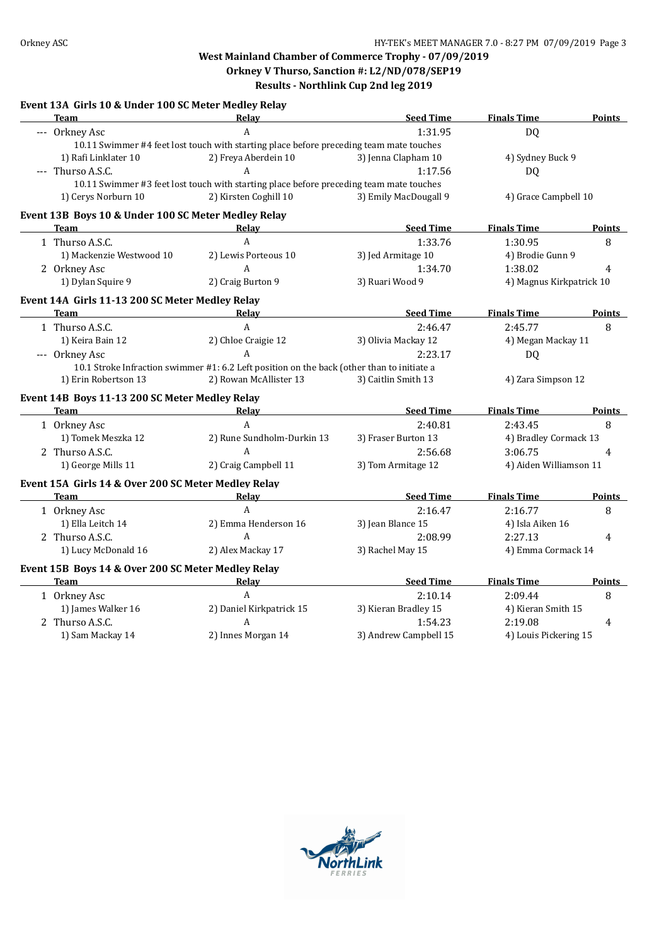#### **Event 13A Girls 10 & Under 100 SC Meter Medley Relay**

| <b>Team</b>                                                | Relay                                                                                                                | <b>Seed Time</b>      | <b>Finals Time</b>       | Points         |
|------------------------------------------------------------|----------------------------------------------------------------------------------------------------------------------|-----------------------|--------------------------|----------------|
| --- Orkney Asc                                             | A                                                                                                                    | 1:31.95               | D <sub>Q</sub>           |                |
|                                                            | 10.11 Swimmer #4 feet lost touch with starting place before preceding team mate touches                              |                       |                          |                |
| 1) Rafi Linklater 10                                       | 2) Freya Aberdein 10                                                                                                 | 3) Jenna Clapham 10   | 4) Sydney Buck 9         |                |
| --- Thurso A.S.C.                                          | A                                                                                                                    | 1:17.56               | DQ                       |                |
|                                                            | 10.11 Swimmer #3 feet lost touch with starting place before preceding team mate touches                              |                       |                          |                |
| 1) Cerys Norburn 10                                        | 2) Kirsten Coghill 10                                                                                                | 3) Emily MacDougall 9 | 4) Grace Campbell 10     |                |
| Event 13B Boys 10 & Under 100 SC Meter Medley Relay        |                                                                                                                      |                       |                          |                |
| Team                                                       | Relay                                                                                                                | <b>Seed Time</b>      | <b>Finals Time</b>       | Points         |
| 1 Thurso A.S.C.                                            | $\mathsf{A}$                                                                                                         | 1:33.76               | 1:30.95                  | 8              |
| 1) Mackenzie Westwood 10                                   | 2) Lewis Porteous 10                                                                                                 | 3) Jed Armitage 10    | 4) Brodie Gunn 9         |                |
| 2 Orkney Asc                                               | $\mathbf{A}$                                                                                                         | 1:34.70               | 1:38.02                  | 4              |
| 1) Dylan Squire 9                                          | 2) Craig Burton 9                                                                                                    | 3) Ruari Wood 9       | 4) Magnus Kirkpatrick 10 |                |
|                                                            |                                                                                                                      |                       |                          |                |
| Event 14A Girls 11-13 200 SC Meter Medley Relay<br>Team    | Relay                                                                                                                | <b>Seed Time</b>      | <b>Finals Time</b>       | <b>Points</b>  |
| 1 Thurso A.S.C.                                            | $\mathsf{A}$                                                                                                         | 2:46.47               | 2:45.77                  | 8              |
| 1) Keira Bain 12                                           | 2) Chloe Craigie 12                                                                                                  | 3) Olivia Mackay 12   | 4) Megan Mackay 11       |                |
|                                                            | $\mathsf{A}$                                                                                                         |                       |                          |                |
| --- Orkney Asc                                             |                                                                                                                      | 2:23.17               | DQ                       |                |
| 1) Erin Robertson 13                                       | 10.1 Stroke Infraction swimmer #1: 6.2 Left position on the back (other than to initiate a<br>2) Rowan McAllister 13 | 3) Caitlin Smith 13   | 4) Zara Simpson 12       |                |
|                                                            |                                                                                                                      |                       |                          |                |
| Event 14B Boys 11-13 200 SC Meter Medley Relay             |                                                                                                                      |                       |                          |                |
| <b>Team</b><br><u> 1989 - Johann Barbara, martin a</u>     | Relay                                                                                                                | <b>Seed Time</b>      | <b>Finals Time</b>       | Points         |
| 1 Orkney Asc                                               | $\mathbf{A}$                                                                                                         | 2:40.81               | 2:43.45                  | 8              |
| 1) Tomek Meszka 12                                         | 2) Rune Sundholm-Durkin 13                                                                                           | 3) Fraser Burton 13   | 4) Bradley Cormack 13    |                |
| 2 Thurso A.S.C.                                            | A                                                                                                                    | 2:56.68               | 3:06.75                  | $\overline{4}$ |
| 1) George Mills 11                                         | 2) Craig Campbell 11                                                                                                 | 3) Tom Armitage 12    | 4) Aiden Williamson 11   |                |
| Event 15A Girls 14 & Over 200 SC Meter Medley Relay        |                                                                                                                      |                       |                          |                |
| <b>Team</b>                                                | Relay                                                                                                                | <b>Seed Time</b>      | <b>Finals Time</b>       | <b>Points</b>  |
| 1 Orkney Asc                                               | $\boldsymbol{A}$                                                                                                     | 2:16.47               | 2:16.77                  | 8              |
| 1) Ella Leitch 14                                          | 2) Emma Henderson 16                                                                                                 | 3) Jean Blance 15     | 4) Isla Aiken 16         |                |
| 2 Thurso A.S.C.                                            | A                                                                                                                    | 2:08.99               | 2:27.13                  | 4              |
| 1) Lucy McDonald 16                                        | 2) Alex Mackay 17                                                                                                    | 3) Rachel May 15      | 4) Emma Cormack 14       |                |
|                                                            |                                                                                                                      |                       |                          |                |
| Event 15B Boys 14 & Over 200 SC Meter Medley Relay<br>Team | Relay                                                                                                                | <b>Seed Time</b>      | <b>Finals Time</b>       | Points         |
| 1 Orkney Asc                                               | $\overline{A}$                                                                                                       | 2:10.14               | 2:09.44                  | 8              |
| 1) James Walker 16                                         | 2) Daniel Kirkpatrick 15                                                                                             | 3) Kieran Bradley 15  | 4) Kieran Smith 15       |                |
| 2 Thurso A.S.C.                                            | A                                                                                                                    | 1:54.23               | 2:19.08                  | 4              |
|                                                            | 2) Innes Morgan 14                                                                                                   |                       |                          |                |
| 1) Sam Mackay 14                                           |                                                                                                                      | 3) Andrew Campbell 15 | 4) Louis Pickering 15    |                |

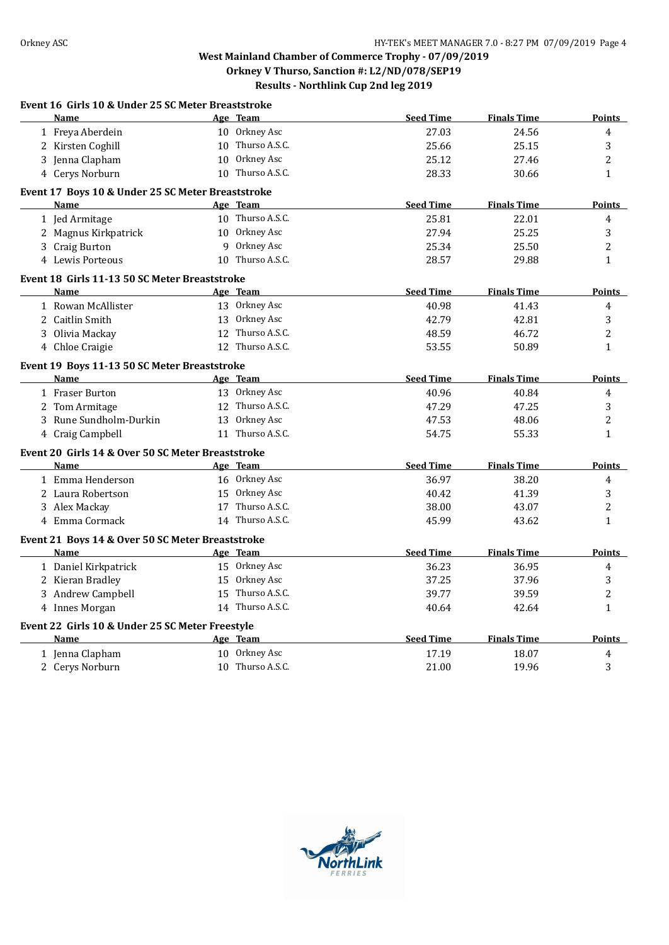| Event 16 Girls 10 & Under 25 SC Meter Breaststroke<br>Name |    | Age Team         | <b>Seed Time</b> | <b>Finals Time</b> | <b>Points</b>  |
|------------------------------------------------------------|----|------------------|------------------|--------------------|----------------|
| 1 Freya Aberdein                                           |    | 10 Orkney Asc    | 27.03            | 24.56              | 4              |
| 2 Kirsten Coghill                                          |    | 10 Thurso A.S.C. | 25.66            | 25.15              | $\sqrt{3}$     |
| 3 Jenna Clapham                                            |    | 10 Orkney Asc    | 25.12            | 27.46              | $\overline{c}$ |
| 4 Cerys Norburn                                            |    | 10 Thurso A.S.C. | 28.33            | 30.66              | $\mathbf{1}$   |
| Event 17 Boys 10 & Under 25 SC Meter Breaststroke          |    |                  |                  |                    |                |
| Name                                                       |    | Age Team         | <b>Seed Time</b> | <b>Finals Time</b> | <b>Points</b>  |
| 1 Jed Armitage                                             |    | 10 Thurso A.S.C. | 25.81            | 22.01              | 4              |
| 2 Magnus Kirkpatrick                                       |    | 10 Orkney Asc    | 27.94            | 25.25              | 3              |
| 3 Craig Burton                                             |    | 9 Orkney Asc     | 25.34            | 25.50              | $\overline{c}$ |
| 4 Lewis Porteous                                           |    | 10 Thurso A.S.C. | 28.57            | 29.88              | $\mathbf{1}$   |
| Event 18 Girls 11-13 50 SC Meter Breaststroke              |    |                  |                  |                    |                |
| <b>Name</b>                                                |    | Age Team         | <b>Seed Time</b> | <b>Finals Time</b> | <b>Points</b>  |
| 1 Rowan McAllister                                         |    | 13 Orkney Asc    | 40.98            | 41.43              | $\overline{4}$ |
| 2 Caitlin Smith                                            |    | 13 Orkney Asc    | 42.79            | 42.81              | $\sqrt{3}$     |
| 3 Olivia Mackay                                            |    | 12 Thurso A.S.C. | 48.59            | 46.72              | $\overline{2}$ |
| 4 Chloe Craigie                                            |    | 12 Thurso A.S.C. | 53.55            | 50.89              | $\mathbf{1}$   |
| Event 19 Boys 11-13 50 SC Meter Breaststroke               |    |                  |                  |                    |                |
| <b>Name</b>                                                |    | Age Team         | <b>Seed Time</b> | <b>Finals Time</b> | <b>Points</b>  |
| 1 Fraser Burton                                            |    | 13 Orkney Asc    | 40.96            | 40.84              | $\overline{4}$ |
| 2 Tom Armitage                                             |    | 12 Thurso A.S.C. | 47.29            | 47.25              | 3              |
| 3 Rune Sundholm-Durkin                                     |    | 13 Orkney Asc    | 47.53            | 48.06              | 2              |
| 4 Craig Campbell                                           |    | 11 Thurso A.S.C. | 54.75            | 55.33              | 1              |
| Event 20 Girls 14 & Over 50 SC Meter Breaststroke          |    |                  |                  |                    |                |
| Name                                                       |    | Age Team         | <b>Seed Time</b> | <b>Finals Time</b> | <b>Points</b>  |
| 1 Emma Henderson                                           |    | 16 Orkney Asc    | 36.97            | 38.20              | 4              |
| 2 Laura Robertson                                          |    | 15 Orkney Asc    | 40.42            | 41.39              | 3              |
| 3 Alex Mackay                                              | 17 | Thurso A.S.C.    | 38.00            | 43.07              | $\overline{c}$ |
| 4 Emma Cormack                                             |    | 14 Thurso A.S.C. | 45.99            | 43.62              | $\mathbf{1}$   |
| Event 21 Boys 14 & Over 50 SC Meter Breaststroke           |    |                  |                  |                    |                |
| <b>Name</b>                                                |    | Age Team         | <b>Seed Time</b> | <b>Finals Time</b> | Points         |
| 1 Daniel Kirkpatrick                                       |    | 15 Orkney Asc    | 36.23            | 36.95              | 4              |
| 2 Kieran Bradley                                           |    | 15 Orkney Asc    | 37.25            | 37.96              | 3              |
| 3 Andrew Campbell                                          |    | 15 Thurso A.S.C. | 39.77            | 39.59              | $\overline{c}$ |
| 4 Innes Morgan                                             |    | 14 Thurso A.S.C. | 40.64            | 42.64              | $\mathbf{1}$   |
| Event 22 Girls 10 & Under 25 SC Meter Freestyle            |    |                  |                  |                    |                |
| <b>Name</b>                                                |    | Age Team         | <b>Seed Time</b> | <b>Finals Time</b> | <b>Points</b>  |
| 1 Jenna Clapham                                            |    | 10 Orkney Asc    | 17.19            | 18.07              | $\pmb{4}$      |
| 2 Cerys Norburn                                            |    | 10 Thurso A.S.C. | 21.00            | 19.96              | 3              |

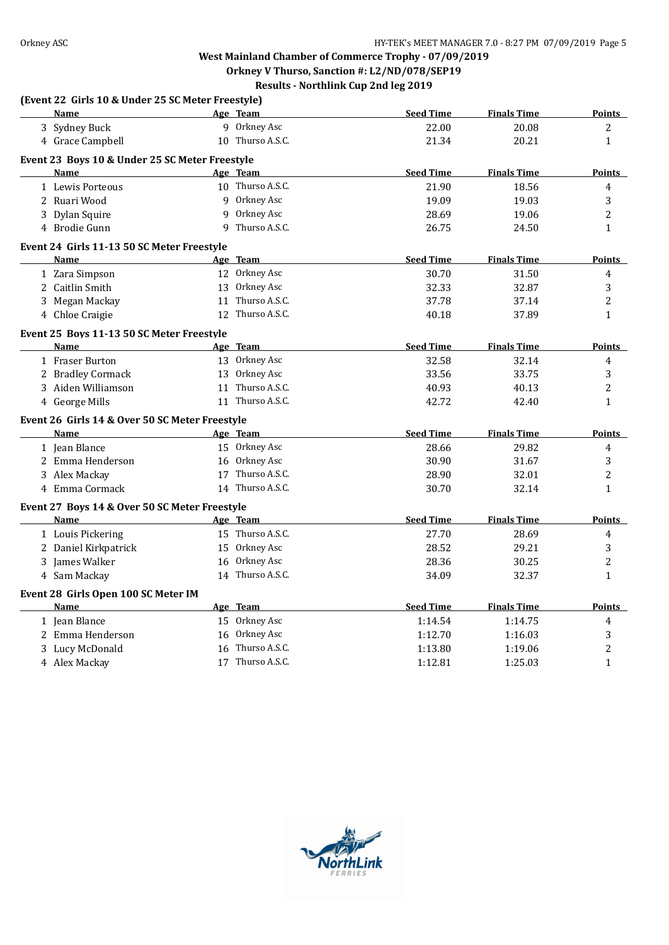# **West Mainland Chamber of Commerce Trophy - 07/09/2019 Orkney V Thurso, Sanction #: L2/ND/078/SEP19**

|                                                   |   | Results - Northlink Cup 2nd leg 2019 |                  |                    |                |
|---------------------------------------------------|---|--------------------------------------|------------------|--------------------|----------------|
| (Event 22 Girls 10 & Under 25 SC Meter Freestyle) |   |                                      |                  |                    |                |
| Name                                              |   | Age Team                             | <b>Seed Time</b> | <b>Finals Time</b> | <u>Points</u>  |
| 3 Sydney Buck                                     |   | 9 Orkney Asc                         | 22.00            | 20.08              | 2              |
| 4 Grace Campbell                                  |   | 10 Thurso A.S.C.                     | 21.34            | 20.21              | $\mathbf{1}$   |
| Event 23 Boys 10 & Under 25 SC Meter Freestyle    |   |                                      |                  |                    |                |
| <b>Name</b>                                       |   | Age Team                             | <b>Seed Time</b> | <b>Finals Time</b> | <b>Points</b>  |
| 1 Lewis Porteous                                  |   | 10 Thurso A.S.C.                     | 21.90            | 18.56              | 4              |
| 2 Ruari Wood                                      | 9 | Orkney Asc                           | 19.09            | 19.03              | 3              |
| 3 Dylan Squire                                    | 9 | Orkney Asc                           | 28.69            | 19.06              | 2              |
| 4 Brodie Gunn                                     | q | Thurso A.S.C.                        | 26.75            | 24.50              | $\mathbf{1}$   |
| Event 24 Girls 11-13 50 SC Meter Freestyle        |   |                                      |                  |                    |                |
| <b>Name</b>                                       |   | Age Team                             | <b>Seed Time</b> | <b>Finals Time</b> | Points         |
| 1 Zara Simpson                                    |   | 12 Orkney Asc                        | 30.70            | 31.50              | 4              |
| 2 Caitlin Smith                                   |   | 13 Orkney Asc                        | 32.33            | 32.87              | 3              |
| 3 Megan Mackay                                    |   | 11 Thurso A.S.C.                     | 37.78            | 37.14              | $\overline{2}$ |
| 4 Chloe Craigie                                   |   | 12 Thurso A.S.C.                     | 40.18            | 37.89              | $\mathbf{1}$   |
| Event 25 Boys 11-13 50 SC Meter Freestyle         |   |                                      |                  |                    |                |
| <b>Name</b>                                       |   | Age Team                             | <b>Seed Time</b> | <b>Finals Time</b> | Points         |
| 1 Fraser Burton                                   |   | 13 Orkney Asc                        | 32.58            | 32.14              | 4              |
| 2 Bradley Cormack                                 |   | 13 Orkney Asc                        | 33.56            | 33.75              | 3              |
| 3 Aiden Williamson                                |   | 11 Thurso A.S.C.                     | 40.93            | 40.13              | 2              |
| 4 George Mills                                    |   | 11 Thurso A.S.C.                     | 42.72            | 42.40              | $\mathbf{1}$   |
| Event 26 Girls 14 & Over 50 SC Meter Freestyle    |   |                                      |                  |                    |                |
| <b>Name</b>                                       |   | Age Team                             | <b>Seed Time</b> | <b>Finals Time</b> | Points         |
| 1 Jean Blance                                     |   | 15 Orkney Asc                        | 28.66            | 29.82              | 4              |
| 2 Emma Henderson                                  |   | 16 Orkney Asc                        | 30.90            | 31.67              | 3              |
| 3 Alex Mackay                                     |   | 17 Thurso A.S.C.                     | 28.90            | 32.01              | 2              |
| 4 Emma Cormack                                    |   | 14 Thurso A.S.C.                     | 30.70            | 32.14              | $\mathbf{1}$   |
| Event 27 Boys 14 & Over 50 SC Meter Freestyle     |   |                                      |                  |                    |                |
| Name                                              |   | Age Team                             | <b>Seed Time</b> | <b>Finals Time</b> | <b>Points</b>  |
| 1 Louis Pickering                                 |   | 15 Thurso A.S.C.                     | 27.70            | 28.69              | 4              |
| 2 Daniel Kirkpatrick                              |   | 15 Orkney Asc                        | 28.52            | 29.21              | 3              |
| 3 James Walker                                    |   | 16 Orkney Asc                        | 28.36            | 30.25              | 2              |
| 4 Sam Mackay                                      |   | 14 Thurso A.S.C.                     | 34.09            | 32.37              | $\mathbf{1}$   |
| Event 28 Girls Open 100 SC Meter IM               |   |                                      |                  |                    |                |
| Name                                              |   | Age Team                             | <b>Seed Time</b> | <b>Finals Time</b> | Points         |
| 1 Jean Blance                                     |   | 15 Orkney Asc                        | 1:14.54          | 1:14.75            | 4              |
| 2 Emma Henderson                                  |   | 16 Orkney Asc                        | 1:12.70          | 1:16.03            | 3              |
| 3 Lucy McDonald                                   |   | 16 Thurso A.S.C.                     | 1:13.80          | 1:19.06            | 2              |
| 4 Alex Mackay                                     |   | 17 Thurso A.S.C.                     | 1:12.81          | 1:25.03            | $\mathbf{1}$   |

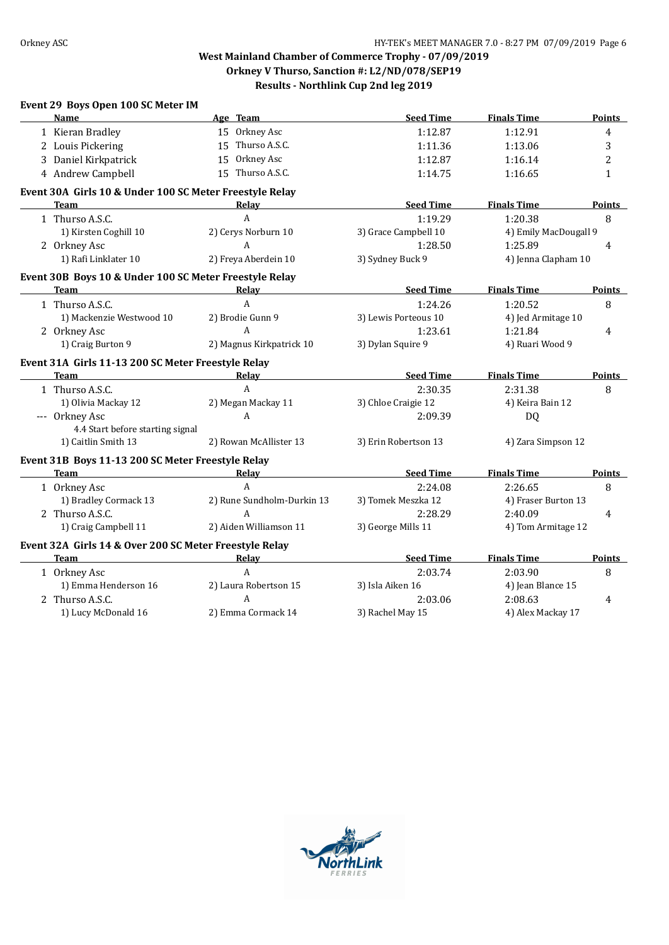| Event 29 Boys Open 100 SC Meter IM                      |                            |                      |                       |                |
|---------------------------------------------------------|----------------------------|----------------------|-----------------------|----------------|
| <b>Name</b>                                             | Age Team                   | <b>Seed Time</b>     | <b>Finals Time</b>    | Points         |
| 1 Kieran Bradley                                        | 15 Orkney Asc              | 1:12.87              | 1:12.91               | 4              |
| 2 Louis Pickering                                       | 15 Thurso A.S.C.           | 1:11.36              | 1:13.06               | 3              |
| 3 Daniel Kirkpatrick                                    | 15 Orkney Asc              | 1:12.87              | 1:16.14               | 2              |
| 4 Andrew Campbell                                       | 15 Thurso A.S.C.           | 1:14.75              | 1:16.65               | $\mathbf{1}$   |
| Event 30A Girls 10 & Under 100 SC Meter Freestyle Relay |                            |                      |                       |                |
| <b>Team</b>                                             | Relay                      | <b>Seed Time</b>     | <b>Finals Time</b>    | Points         |
| 1 Thurso A.S.C.                                         | $\mathbf{A}$               | 1:19.29              | 1:20.38               | 8              |
| 1) Kirsten Coghill 10                                   | 2) Cerys Norburn 10        | 3) Grace Campbell 10 | 4) Emily MacDougall 9 |                |
| 2 Orkney Asc                                            | A                          | 1:28.50              | 1:25.89               | $\overline{4}$ |
| 1) Rafi Linklater 10                                    | 2) Freya Aberdein 10       | 3) Sydney Buck 9     | 4) Jenna Clapham 10   |                |
| Event 30B Boys 10 & Under 100 SC Meter Freestyle Relay  |                            |                      |                       |                |
| <b>Team</b>                                             | Relay                      | <b>Seed Time</b>     | <b>Finals Time</b>    | Points         |
| 1 Thurso A.S.C.                                         | A                          | 1:24.26              | 1:20.52               | 8              |
| 1) Mackenzie Westwood 10                                | 2) Brodie Gunn 9           | 3) Lewis Porteous 10 | 4) Jed Armitage 10    |                |
| 2 Orkney Asc                                            | $\mathsf{A}$               | 1:23.61              | 1:21.84               | 4              |
| 1) Craig Burton 9                                       | 2) Magnus Kirkpatrick 10   | 3) Dylan Squire 9    | 4) Ruari Wood 9       |                |
| Event 31A Girls 11-13 200 SC Meter Freestyle Relay      |                            |                      |                       |                |
| <b>Team</b>                                             | <b>Relay</b>               | <b>Seed Time</b>     | <b>Finals Time</b>    | Points         |
| 1 Thurso A.S.C.                                         | $\boldsymbol{A}$           | 2:30.35              | 2:31.38               | 8              |
| 1) Olivia Mackay 12                                     | 2) Megan Mackay 11         | 3) Chloe Craigie 12  | 4) Keira Bain 12      |                |
| --- Orkney Asc                                          | A                          | 2:09.39              | <b>DQ</b>             |                |
| 4.4 Start before starting signal                        |                            |                      |                       |                |
| 1) Caitlin Smith 13                                     | 2) Rowan McAllister 13     | 3) Erin Robertson 13 | 4) Zara Simpson 12    |                |
| Event 31B Boys 11-13 200 SC Meter Freestyle Relay       |                            |                      |                       |                |
| <b>Team</b>                                             | Relay                      | <b>Seed Time</b>     | <b>Finals Time</b>    | Points         |
| 1 Orkney Asc                                            | $\mathsf{A}$               | 2:24.08              | 2:26.65               | 8              |
| 1) Bradley Cormack 13                                   | 2) Rune Sundholm-Durkin 13 | 3) Tomek Meszka 12   | 4) Fraser Burton 13   |                |
| 2 Thurso A.S.C.                                         | A                          | 2:28.29              | 2:40.09               | $\overline{4}$ |
| 1) Craig Campbell 11                                    | 2) Aiden Williamson 11     | 3) George Mills 11   | 4) Tom Armitage 12    |                |
| Event 32A Girls 14 & Over 200 SC Meter Freestyle Relay  |                            |                      |                       |                |
| <b>Team</b>                                             | Relay                      | <b>Seed Time</b>     | <b>Finals Time</b>    | Points         |
| 1 Orkney Asc                                            | $\mathsf{A}$               | 2:03.74              | 2:03.90               | 8              |
| 1) Emma Henderson 16                                    | 2) Laura Robertson 15      | 3) Isla Aiken 16     | 4) Jean Blance 15     |                |
| 2 Thurso A.S.C.                                         | $\mathsf{A}$               | 2:03.06              | 2:08.63               | 4              |
| 1) Lucy McDonald 16                                     | 2) Emma Cormack 14         | 3) Rachel May 15     | 4) Alex Mackay 17     |                |